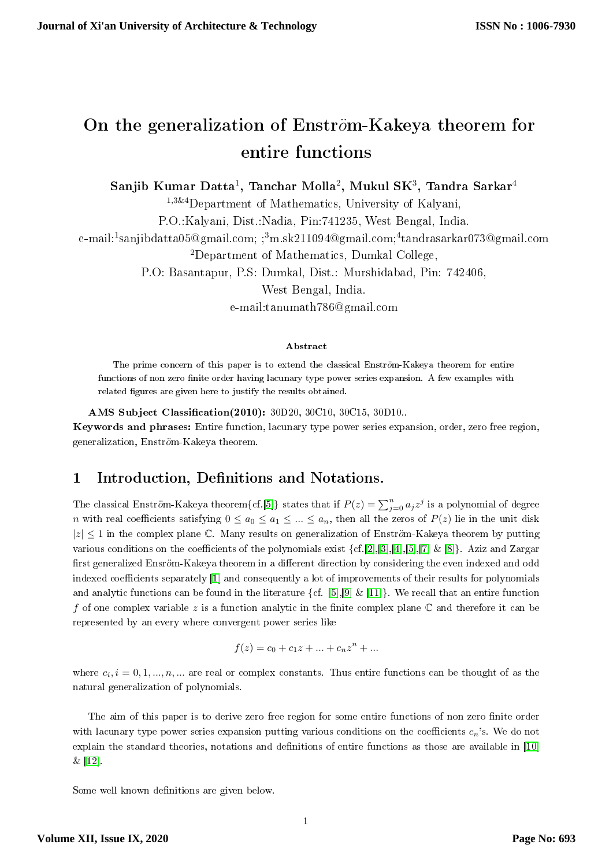# On the generalization of Enström-Kakeya theorem for entire functions

Sanjib Kumar Datta $^1,$  Tanchar Molla $^2,$  Mukul SK $^3,$  Tandra Sarkar $^4$ 

<sup>1</sup>,3&4Department of Mathematics, University of Kalyani,

P.O.:Kalyani, Dist.:Nadia, Pin:741235, West Bengal, India.

e-mail:<sup>1</sup>sanjibdatta05@gmail.com; ;<sup>3</sup>m.sk211094@gmail.com;<sup>4</sup>tandrasarkar073@gmail.com

<sup>2</sup>Department of Mathematics, Dumkal College,

P.O: Basantapur, P.S: Dumkal, Dist.: Murshidabad, Pin: 742406,

West Bengal, India.

e-mail:tanumath786@gmail.com

#### Abstract

The prime concern of this paper is to extend the classical Enström-Kakeya theorem for entire functions of non zero finite order having lacunary type power series expansion. A few examples with related figures are given here to justify the results obtained.

AMS Subject Classification(2010): 30D20, 30C10, 30C15, 30D10...

Keywords and phrases: Entire function, lacunary type power series expansion, order, zero free region, generalization, Enström-Kakeya theorem.

# 1 Introduction, Definitions and Notations.

The classical Enström-Kakeya theorem $\{cf. [5]\}$  $\{cf. [5]\}$  $\{cf. [5]\}$  states that if  $P(z) = \sum_{j=0}^{n} a_j z^j$  is a polynomial of degree n with real coefficients satisfying  $0 \le a_0 \le a_1 \le ... \le a_n$ , then all the zeros of  $P(z)$  lie in the unit disk  $|z| \leq 1$  in the complex plane C. Many results on generalization of Enström-Kakeya theorem by putting various conditions on the coefficients of the polynomials exist  $\{cf.[2],[3],[4],[5],[7]\& [8]\}.$  $\{cf.[2],[3],[4],[5],[7]\& [8]\}.$  $\{cf.[2],[3],[4],[5],[7]\& [8]\}.$  $\{cf.[2],[3],[4],[5],[7]\& [8]\}.$  $\{cf.[2],[3],[4],[5],[7]\& [8]\}.$  $\{cf.[2],[3],[4],[5],[7]\& [8]\}.$  $\{cf.[2],[3],[4],[5],[7]\& [8]\}.$  $\{cf.[2],[3],[4],[5],[7]\& [8]\}.$  $\{cf.[2],[3],[4],[5],[7]\& [8]\}.$  $\{cf.[2],[3],[4],[5],[7]\& [8]\}.$  $\{cf.[2],[3],[4],[5],[7]\& [8]\}.$  $\{cf.[2],[3],[4],[5],[7]\& [8]\}.$  $\{cf.[2],[3],[4],[5],[7]\& [8]\}.$  Aziz and Zargar first generalized Ensröm-Kakeya theorem in a different direction by considering the even indexed and odd indexed coefficients separately [\[1\]](#page-7-6) and consequently a lot of improvements of their results for polynomials and analytic functions can be found in the literature  $\{\text{cf. }[5],[9]\&[11]\}\.$  $\{\text{cf. }[5],[9]\&[11]\}\.$  $\{\text{cf. }[5],[9]\&[11]\}\.$  $\{\text{cf. }[5],[9]\&[11]\}\.$  $\{\text{cf. }[5],[9]\&[11]\}\.$  $\{\text{cf. }[5],[9]\&[11]\}\.$  $\{\text{cf. }[5],[9]\&[11]\}\.$  We recall that an entire function f of one complex variable z is a function analytic in the finite complex plane  $\mathbb C$  and therefore it can be represented by an every where convergent power series like

$$
f(z) = c_0 + c_1 z + \dots + c_n z^n + \dots
$$

where  $c_i$ ,  $i = 0, 1, ..., n, ...$  are real or complex constants. Thus entire functions can be thought of as the natural generalization of polynomials.

The aim of this paper is to derive zero free region for some entire functions of non zero finite order with lacunary type power series expansion putting various conditions on the coefficients  $c_n$ 's. We do not explain the standard theories, notations and definitions of entire functions as those are available in [\[10\]](#page-7-9) & [\[12\]](#page-7-10).

Some well known definitions are given below.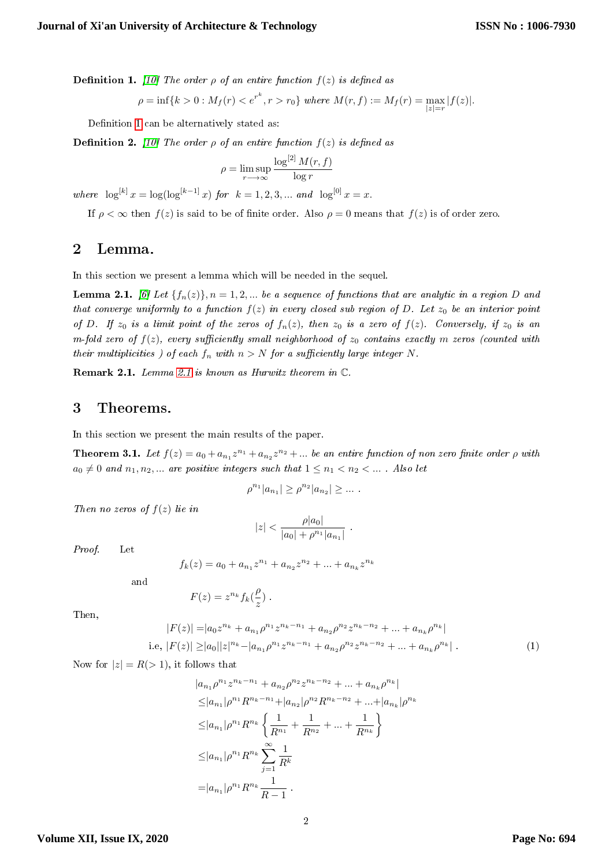<span id="page-1-0"></span>**Definition 1.** [\[10\]](#page-7-9) The order  $\rho$  of an entire function  $f(z)$  is defined as

$$
\rho = \inf\{k > 0 : M_f(r) < e^{r^k}, r > r_0\} \text{ where } M(r, f) := M_f(r) = \max_{|z| = r} |f(z)|.
$$

Definition [1](#page-1-0) can be alternatively stated as:

**Definition 2.** [\[10\]](#page-7-9) The order  $\rho$  of an entire function  $f(z)$  is defined as

$$
\rho = \limsup_{r \to \infty} \frac{\log^{[2]} M(r, f)}{\log r}
$$

where  $\log^{[k]} x = \log(\log^{[k-1]} x)$  for  $k = 1, 2, 3, ...$  and  $\log^{[0]} x = x$ .

If  $\rho < \infty$  then  $f(z)$  is said to be of finite order. Also  $\rho = 0$  means that  $f(z)$  is of order zero.

## 2 Lemma.

In this section we present a lemma which will be needed in the sequel.

<span id="page-1-1"></span>**Lemma 2.1.** [\[6\]](#page-7-11) Let  $\{f_n(z)\}\$ ,  $n = 1, 2, \ldots$  be a sequence of functions that are analytic in a region D and that converge uniformly to a function  $f(z)$  in every closed sub region of D. Let  $z_0$  be an interior point of D. If  $z_0$  is a limit point of the zeros of  $f_n(z)$ , then  $z_0$  is a zero of  $f(z)$ . Conversely, if  $z_0$  is an m-fold zero of  $f(z)$ , every sufficiently small neighborhood of  $z_0$  contains exactly m zeros (counted with their multiplicities ) of each  $f_n$  with  $n > N$  for a sufficiently large integer N.

Remark 2.1. Lemma [2.1](#page-1-1) is known as Hurwitz theorem in C.

## 3 Theorems.

In this section we present the main results of the paper.

<span id="page-1-3"></span>**Theorem 3.1.** Let  $f(z) = a_0 + a_{n_1}z^{n_1} + a_{n_2}z^{n_2} + ...$  be an entire function of non zero finite order  $\rho$  with  $a_0 \neq 0$  and  $n_1, n_2, ...$  are positive integers such that  $1 \leq n_1 < n_2 < ...$ . Also let

$$
\rho^{n_1}|a_{n_1}| \ge \rho^{n_2}|a_{n_2}| \ge \dots
$$

Then no zeros of  $f(z)$  lie in

$$
|z| < \frac{\rho |a_0|}{|a_0| + \rho^{n_1} |a_{n_1}|} \; .
$$

Proof. Let

$$
f_k(z) = a_0 + a_{n_1}z^{n_1} + a_{n_2}z^{n_2} + \dots + a_{n_k}z^{n_k}
$$

and

$$
F(z) = z^{n_k} f_k(\frac{\rho}{z}) .
$$

Then,

<span id="page-1-2"></span>
$$
|F(z)| = |a_0 z^{n_k} + a_{n_1} \rho^{n_1} z^{n_k - n_1} + a_{n_2} \rho^{n_2} z^{n_k - n_2} + \dots + a_{n_k} \rho^{n_k}|
$$
  
i.e,  $|F(z)| \ge |a_0||z|^{n_k} - |a_{n_1} \rho^{n_1} z^{n_k - n_1} + a_{n_2} \rho^{n_2} z^{n_k - n_2} + \dots + a_{n_k} \rho^{n_k}|$  (1)

Now for  $|z| = R(> 1)$ , it follows that

$$
|a_{n_1}\rho^{n_1}z^{n_k-n_1} + a_{n_2}\rho^{n_2}z^{n_k-n_2} + \dots + a_{n_k}\rho^{n_k}|
$$
  
\n
$$
\leq |a_{n_1}|\rho^{n_1}R^{n_k-n_1} + |a_{n_2}|\rho^{n_2}R^{n_k-n_2} + \dots + |a_{n_k}|\rho^{n_k}
$$
  
\n
$$
\leq |a_{n_1}|\rho^{n_1}R^{n_k}\left\{\frac{1}{R^{n_1}} + \frac{1}{R^{n_2}} + \dots + \frac{1}{R^{n_k}}\right\}
$$
  
\n
$$
\leq |a_{n_1}|\rho^{n_1}R^{n_k}\sum_{j=1}^{\infty}\frac{1}{R^k}
$$
  
\n
$$
= |a_{n_1}|\rho^{n_1}R^{n_k}\frac{1}{R-1}.
$$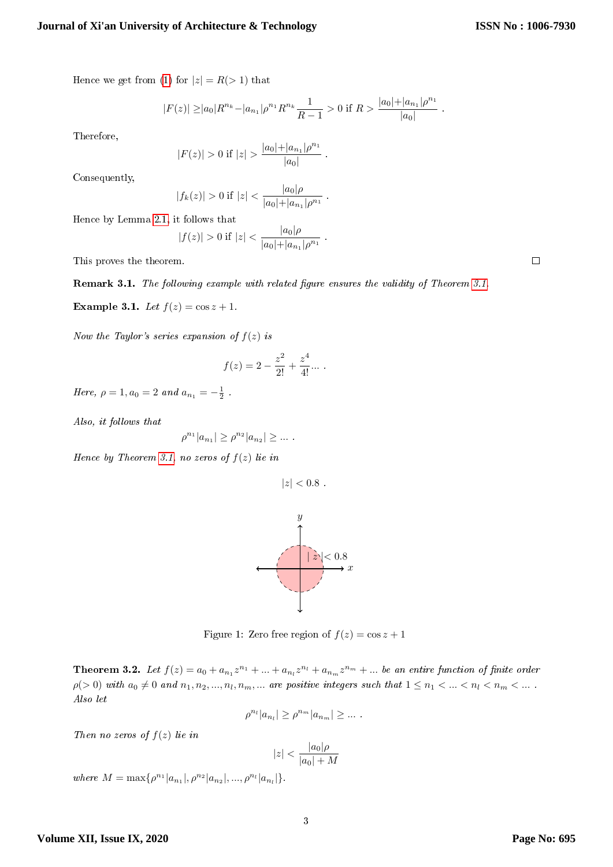$\Box$ 

Hence we get from [\(1\)](#page-1-2) for  $|z| = R(> 1)$  that

$$
|F(z)| \ge |a_0| R^{n_k} - |a_{n_1}| \rho^{n_1} R^{n_k} \frac{1}{R-1} > 0 \text{ if } R > \frac{|a_0| + |a_{n_1}| \rho^{n_1}}{|a_0|} .
$$

.

.

.

Therefore,

$$
|F(z)| > 0 \text{ if } |z| > \frac{|a_0| + |a_{n_1}| \rho^{n_1}}{|a_0|}
$$

Consequently,

$$
|f_k(z)| > 0 \text{ if } |z| < \frac{|a_0|\rho}{|a_0| + |a_{n_1}|\rho^{n_1}}
$$

Hence by Lemma [2.1,](#page-1-1) it follows that

$$
|f(z)| > 0 \text{ if } |z| < \frac{|a_0|\rho}{|a_0| + |a_{n_1}|\rho^{n_1}}
$$

This proves the theorem.

Remark [3.1.](#page-1-3) The following example with related figure ensures the validity of Theorem 3.1.

 $|a| \geq 1$ 

Example 3.1. Let  $f(z) = \cos z + 1$ .

Now the Taylor's series expansion of  $f(z)$  is

$$
f(z) = 2 - \frac{z^2}{2!} + \frac{z^4}{4!} \dots
$$

Here,  $\rho = 1, a_0 = 2$  and  $a_{n_1} = -\frac{1}{2}$ .

Also, it follows that

$$
\rho^{n_1}|a_{n_1}| \ge \rho^{n_2}|a_{n_2}| \ge \dots
$$

Hence by Theorem [3.1,](#page-1-3) no zeros of  $f(z)$  lie in

 $|z| < 0.8$ .

 $\hat{y}$ 



 $\boldsymbol{x}$ 

 $|x| < 0.8$ 

<span id="page-2-0"></span>**Theorem 3.2.** Let  $f(z) = a_0 + a_{n_1}z^{n_1} + ... + a_{n_l}z^{n_l} + a_{n_m}z^{n_m} + ...$  be an entire function of finite order  $\rho(>0)$  with  $a_0\neq 0$  and  $n_1,n_2,...,n_l,n_m,...$  are positive integers such that  $1\leq n_1<...< n_l< n_m<...$ Also let

$$
\rho^{n_l}|a_{n_l}| \ge \rho^{n_m}|a_{n_m}| \ge \dots
$$

Then no zeros of  $f(z)$  lie in

$$
|z| < \frac{|a_0|\rho}{|a_0|+M}
$$

where  $M = \max\{\rho^{n_1}|a_{n_1}|, \rho^{n_2}|a_{n_2}|, ..., \rho^{n_l}|a_{n_l}|\}.$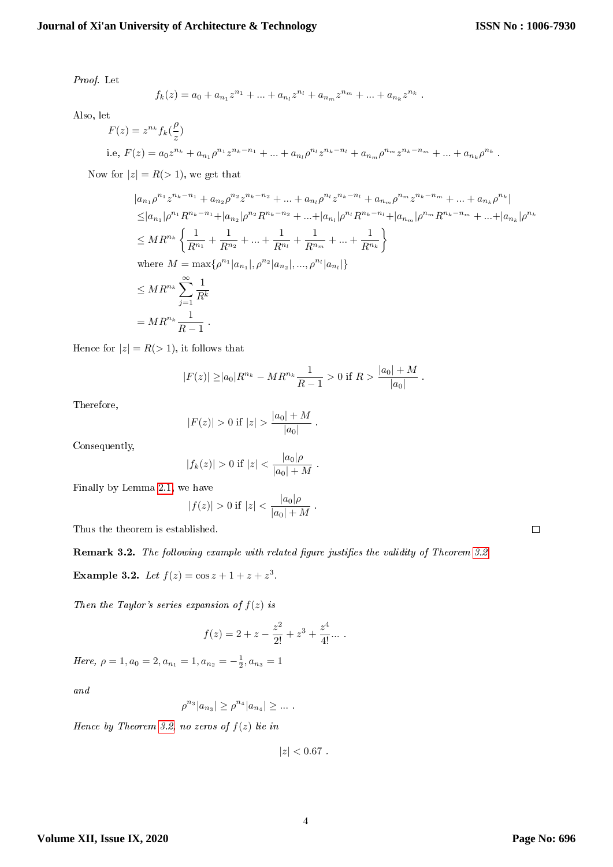.

Proof. Let

$$
f_k(z) = a_0 + a_{n_1}z^{n_1} + \dots + a_{n_l}z^{n_l} + a_{n_m}z^{n_m} + \dots + a_{n_k}z^{n_k}.
$$

Also, let

$$
F(z) = z^{n_k} f_k(\frac{\rho}{z})
$$
  
i.e,  $F(z) = a_0 z^{n_k} + a_{n_1} \rho^{n_1} z^{n_k - n_1} + ... + a_{n_l} \rho^{n_l} z^{n_k - n_l} + a_{n_m} \rho^{n_m} z^{n_k - n_m} + ... + a_{n_k} \rho^{n_k}$ 

Now for  $|z| = R(> 1)$ , we get that

$$
|a_{n1}\rho^{n1}z^{n_{k}-n_{1}} + a_{n2}\rho^{n2}z^{n_{k}-n_{2}} + \dots + a_{n1}\rho^{n1}z^{n_{k}-n_{1}} + a_{n_{m}}\rho^{n_{m}}z^{n_{k}-n_{m}} + \dots + a_{nk}\rho^{n_{k}}|
$$
  
\n
$$
\leq |a_{n1}|\rho^{n_{1}}R^{n_{k}-n_{1}} + |a_{n2}|\rho^{n_{2}}R^{n_{k}-n_{2}} + \dots + |a_{n1}|\rho^{n_{1}}R^{n_{k}-n_{1}} + |a_{n_{m}}|\rho^{n_{m}}R^{n_{k}-n_{m}} + \dots + |a_{nk}|\rho^{n_{k}}
$$
  
\n
$$
\leq MR^{n_{k}}\left\{\frac{1}{R^{n_{1}}} + \frac{1}{R^{n_{2}}} + \dots + \frac{1}{R^{n_{1}}} + \frac{1}{R^{n_{m}}} + \dots + \frac{1}{R^{n_{k}}}\right\}
$$
  
\nwhere  $M = \max\{\rho^{n_{1}}|a_{n_{1}}|, \rho^{n_{2}}|a_{n_{2}}|, ..., \rho^{n_{l}}|a_{n_{l}}|\}$   
\n
$$
\leq MR^{n_{k}}\sum_{j=1}^{\infty}\frac{1}{R^{k}}
$$
  
\n
$$
= MR^{n_{k}}\frac{1}{R-1}
$$

Hence for  $|z| = R(> 1)$ , it follows that

$$
|F(z)| \ge |a_0|R^{n_k} - MR^{n_k}\frac{1}{R-1} > 0 \text{ if } R > \frac{|a_0|+M}{|a_0|}.
$$

Therefore,

$$
|F(z)| > 0 \text{ if } |z| > \frac{|a_0| + M}{|a_0|}.
$$

Consequently,

$$
|f_k(z)| > 0
$$
 if  $|z| < \frac{|a_0|\rho}{|a_0|+M}$ .

Finally by Lemma [2.1,](#page-1-1) we have

$$
|f(z)| > 0 \text{ if } |z| < \frac{|a_0|\rho}{|a_0|+M} .
$$

Thus the theorem is established.

#### Remark [3.2.](#page-2-0) The following example with related figure justifies the validity of Theorem 3.2.

**Example 3.2.** Let  $f(z) = \cos z + 1 + z + z^3$ .

Then the Taylor's series expansion of  $f(z)$  is

$$
f(z) = 2 + z - \frac{z^2}{2!} + z^3 + \frac{z^4}{4!} \dots
$$

Here,  $\rho = 1, a_0 = 2, a_{n_1} = 1, a_{n_2} = -\frac{1}{2}, a_{n_3} = 1$ 

and

$$
\rho^{n_3}|a_{n_3}| \ge \rho^{n_4}|a_{n_4}| \ge \dots
$$

Hence by Theorem [3.2,](#page-2-0) no zeros of  $f(z)$  lie in

 $|z| < 0.67$ .

 $\Box$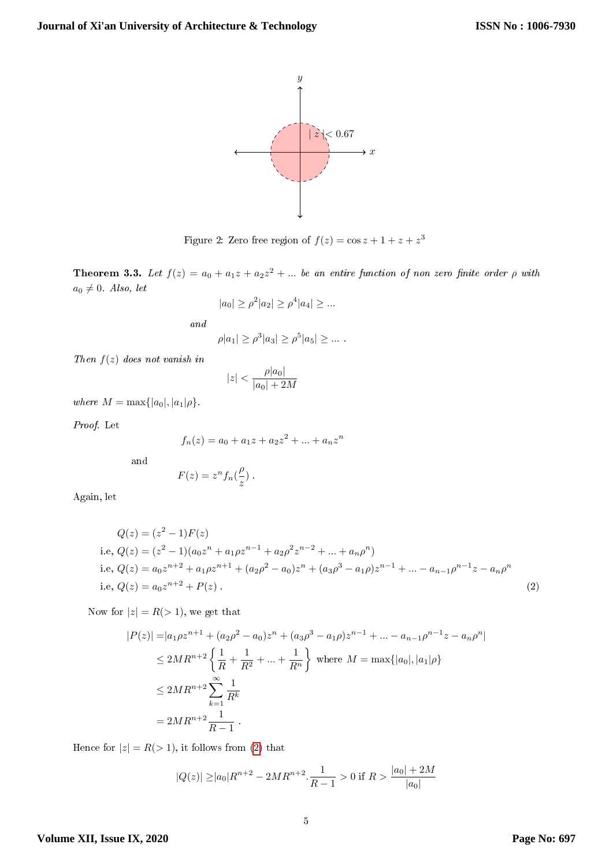

Figure 2: Zero free region of  $f(z) = \cos z + 1 + z + z^3$ 

<span id="page-4-1"></span>**Theorem 3.3.** Let  $f(z) = a_0 + a_1z + a_2z^2 + ...$  be an entire function of non zero finite order  $\rho$  with  $a_0 \neq 0$ . Also, let

$$
|a_0| \ge \rho^2 |a_2| \ge \rho^4 |a_4| \ge \dots
$$

and

$$
\rho |a_1| \ge \rho^3 |a_3| \ge \rho^5 |a_5| \ge \dots
$$

Then  $f(z)$  does not vanish in

$$
|z| < \frac{\rho |a_0|}{|a_0|+2M}
$$

where  $M = \max\{|a_0|, |a_1|\rho\}.$ 

Proof. Let

$$
f_n(z) = a_0 + a_1 z + a_2 z^2 + \dots + a_n z^n
$$

and

$$
F(z) = zn fn(\frac{\rho}{z}).
$$

Again, let

$$
Q(z) = (z2 - 1)F(z)
$$
  
i.e,  $Q(z) = (z2 - 1)(a_0zn + a_1\rho zn-1 + a_2\rho2zn-2 + ... + a_n\rhon)$   
i.e,  $Q(z) = a_0zn+2 + a_1\rho zn+1 + (a_2\rho2 - a_0)zn + (a_3\rho3 - a_1\rho)zn-1 + ... - a_{n-1}\rhon-1z - a_n\rhon$   
i.e,  $Q(z) = a_0zn+2 + P(z)$  (2)

<span id="page-4-0"></span>Now for  $|z| = R(> 1)$ , we get that

$$
|P(z)| = |a_1 \rho z^{n+1} + (a_2 \rho^2 - a_0) z^n + (a_3 \rho^3 - a_1 \rho) z^{n-1} + \dots - a_{n-1} \rho^{n-1} z - a_n \rho^n|
$$
  
\n
$$
\leq 2MR^{n+2} \left\{ \frac{1}{R} + \frac{1}{R^2} + \dots + \frac{1}{R^n} \right\} \text{ where } M = \max\{|a_0|, |a_1|\rho\}
$$
  
\n
$$
\leq 2MR^{n+2} \sum_{k=1}^{\infty} \frac{1}{R^k}
$$
  
\n
$$
= 2MR^{n+2} \frac{1}{R-1}.
$$

Hence for  $|z| = R(> 1)$ , it follows from [\(2\)](#page-4-0) that

$$
|Q(z)| \ge |a_0|R^{n+2} - 2MR^{n+2} \cdot \frac{1}{R-1} > 0
$$
 if  $R > \frac{|a_0| + 2M}{|a_0|}$ 

### **Volume XII, Issue IX, 2020**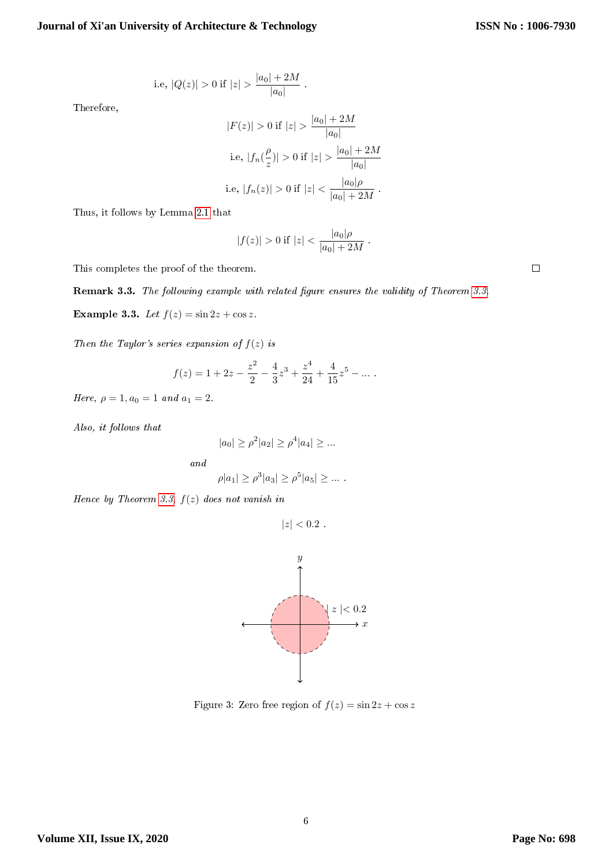i.e, 
$$
|Q(z)| > 0
$$
 if  $|z| > \frac{|a_0| + 2M}{|a_0|}$ 

Therefore,

$$
|F(z)| > 0 \text{ if } |z| > \frac{|a_0| + 2M}{|a_0|}
$$
  
i.e,  $|f_n(\frac{\rho}{z})| > 0 \text{ if } |z| > \frac{|a_0| + 2M}{|a_0|}$   
i.e,  $|f_n(z)| > 0 \text{ if } |z| < \frac{|a_0|\rho}{|a_0| + 2M}$ .

.

Thus, it follows by Lemma [2.1](#page-1-1) that

$$
|f(z)| > 0 \text{ if } |z| < \frac{|a_0|\rho}{|a_0| + 2M}.
$$

This completes the proof of the theorem.

**Remark 3.3.** The following example with related figure ensures the validity of Theorem 3.3.  
**Example 3.3.** Let 
$$
f(z) = \sin 2z + \cos z
$$
.

Then the Taylor's series expansion of  $f(z)$  is

$$
f(z) = 1 + 2z - \frac{z^2}{2} - \frac{4}{3}z^3 + \frac{z^4}{24} + \frac{4}{15}z^5 - \dots
$$

Here,  $\rho = 1, a_0 = 1$  and  $a_1 = 2$ .

Also, it follows that

$$
|a_0| \ge \rho^2 |a_2| \ge \rho^4 |a_4| \ge \dots
$$

and

$$
\rho |a_1| \ge \rho^3 |a_3| \ge \rho^5 |a_5| \ge \dots
$$

Hence by Theorem [3.3,](#page-4-1)  $f(z)$  does not vanish in

$$
|z| < 0.2
$$



Figure 3: Zero free region of  $f(z) = \sin 2z + \cos z$ 

 $\Box$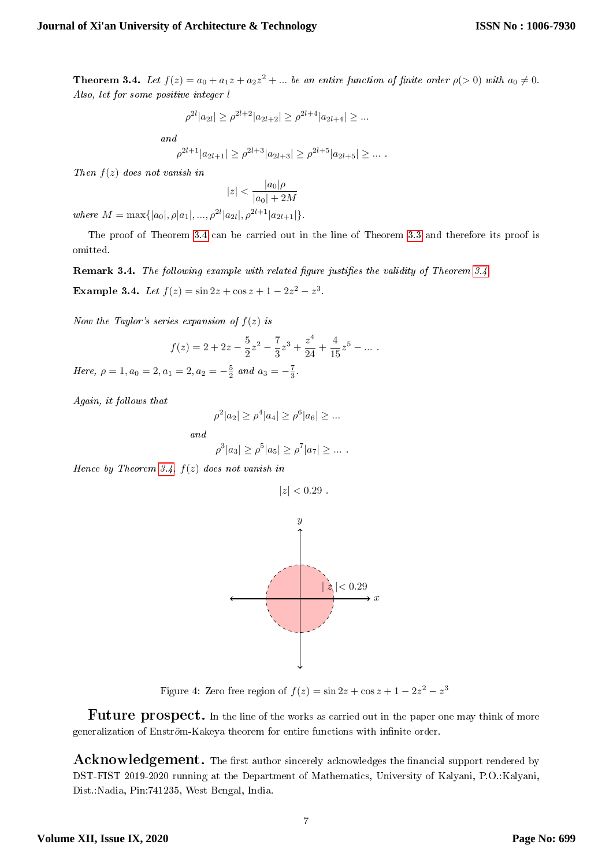<span id="page-6-0"></span>**Theorem 3.4.** Let  $f(z) = a_0 + a_1z + a_2z^2 + ...$  be an entire function of finite order  $\rho(z|0)$  with  $a_0 \neq 0$ . Also, let for some positive integer l

$$
\rho^{2l}|a_{2l}|\geq \rho^{2l+2}|a_{2l+2}|\geq \rho^{2l+4}|a_{2l+4}|\geq \dots
$$

and

$$
\rho^{2l+1}|a_{2l+1}|\geq \rho^{2l+3}|a_{2l+3}|\geq \rho^{2l+5}|a_{2l+5}|\geq \ldots\;.
$$

Then  $f(z)$  does not vanish in

$$
|z|<\frac{|a_0|\rho}{|a_0|+2M}
$$

where  $M = \max\{|a_0|, \rho |a_1|, ..., \rho^{2l} |a_{2l}|, \rho^{2l+1} |a_{2l+1}|\}.$ 

The proof of Theorem [3.4](#page-6-0) can be carried out in the line of Theorem [3.3](#page-4-1) and therefore its proof is omitted.

**Remark [3.4.](#page-6-0)** The following example with related figure justifies the validity of Theorem 3.4.

Example 3.4. Let  $f(z) = \sin 2z + \cos z + 1 - 2z^2 - z^3$ .

Now the Taylor's series expansion of  $f(z)$  is

$$
f(z) = 2 + 2z - \frac{5}{2}z^{2} - \frac{7}{3}z^{3} + \frac{z^{4}}{24} + \frac{4}{15}z^{5} - \dots
$$

Here,  $\rho = 1, a_0 = 2, a_1 = 2, a_2 = -\frac{5}{2}$  and  $a_3 = -\frac{7}{3}$ .

Again, it follows that

$$
\rho^2 |a_2| \ge \rho^4 |a_4| \ge \rho^6 |a_6| \ge \dots
$$

and

$$
\rho^3|a_3| \ge \rho^5|a_5| \ge \rho^7|a_7| \ge \dots
$$

Hence by Theorem [3.4,](#page-6-0)  $f(z)$  does not vanish in

 $|z| < 0.29$ .



Figure 4: Zero free region of  $f(z) = \sin 2z + \cos z + 1 - 2z^2 - z^3$ 

**Future prospect.** In the line of the works as carried out in the paper one may think of more generalization of Enström-Kakeya theorem for entire functions with infinite order.

 $\rm Acknowledgement.$  The first author sincerely acknowledges the financial support rendered by DST-FIST 2019-2020 running at the Department of Mathematics, University of Kalyani, P.O.:Kalyani, Dist.:Nadia, Pin:741235, West Bengal, India.